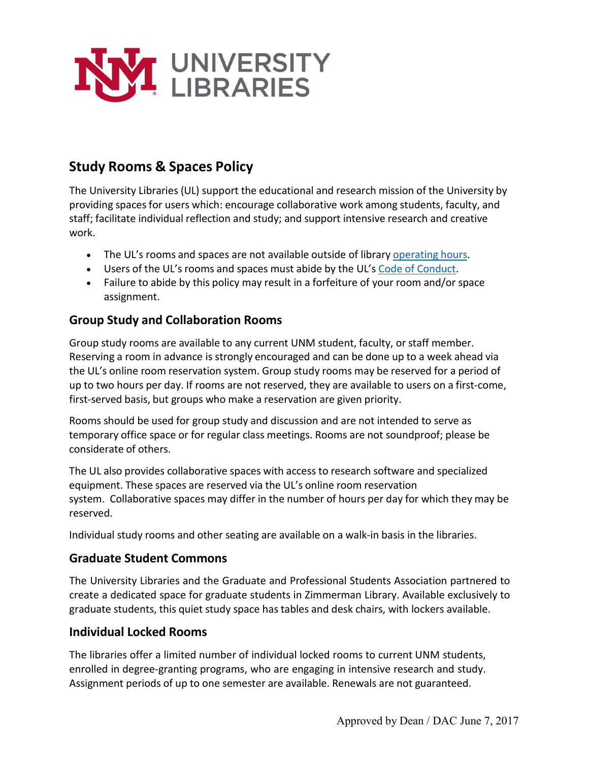

# **Study Rooms & Spaces Policy**

The University Libraries (UL) support the educational and research mission of the University by providing spacesfor users which: encourage collaborative work among students, faculty, and staff; facilitate individual reflection and study; and support intensive research and creative work.

- The UL's rooms and spaces are not available outside of library [operating](http://library.unm.edu/about/hours.php) hours.
- Users of the UL's rooms and spaces must abide by the UL's Code of [Conduct.](https://library.unm.edu/about/policies/code-of-conduct.pdf)
- Failure to abide by this policy may result in a forfeiture of your room and/or space assignment.

## **Group Study and Collaboration Rooms**

Group study rooms are available to any current UNM student, faculty, or staff member. Reserving a room in advance is strongly encouraged and can be done up to a week ahead via the UL's online room reservation system. Group study rooms may be reserved for a period of up to two hours per day. If rooms are not reserved, they are available to users on a first-come, first-served basis, but groups who make a reservation are given priority.

Rooms should be used for group study and discussion and are not intended to serve as temporary office space or for regular class meetings. Rooms are not soundproof; please be considerate of others.

The UL also provides collaborative spaces with access to research software and specialized equipment. These spaces are reserved via the UL's online room reservation system. Collaborative spaces may differ in the number of hours per day for which they may be reserved.

Individual study rooms and other seating are available on a walk-in basis in the libraries.

### **Graduate Student Commons**

The University Libraries and the Graduate and Professional Students Association partnered to create a dedicated space for graduate students in Zimmerman Library. Available exclusively to graduate students, this quiet study space has tables and desk chairs, with lockers available.

### **Individual Locked Rooms**

The libraries offer a limited number of individual locked rooms to current UNM students, enrolled in degree-granting programs, who are engaging in intensive research and study. Assignment periods of up to one semester are available. Renewals are not guaranteed.